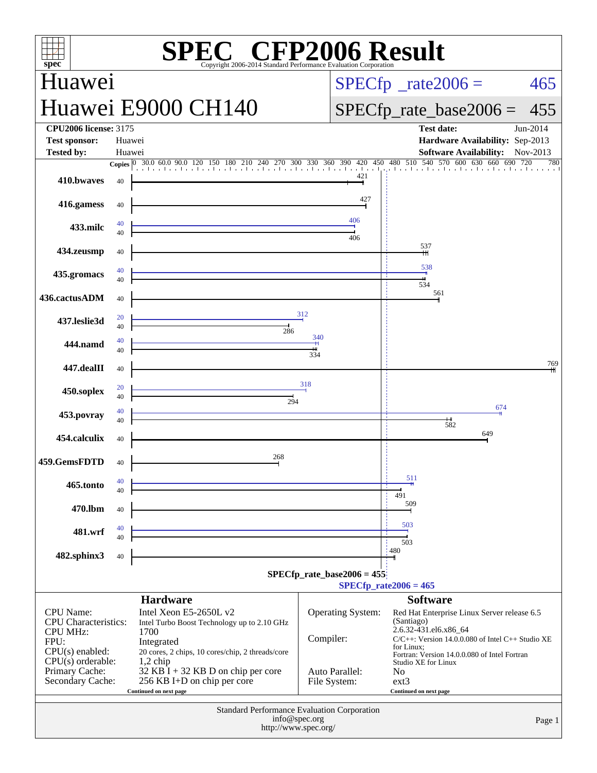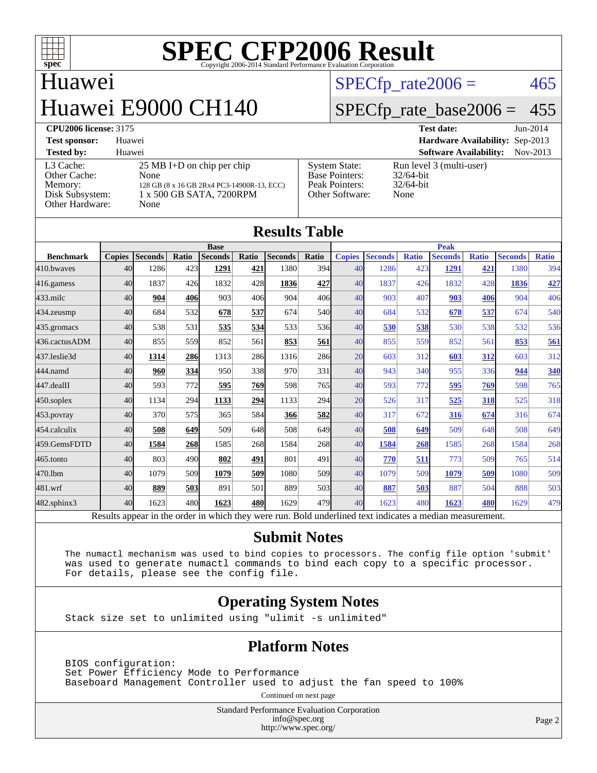

## Huawei Huawei E9000 CH140

 $SPECTp\_rate2006 = 465$ 

#### [SPECfp\\_rate\\_base2006 =](http://www.spec.org/auto/cpu2006/Docs/result-fields.html#SPECfpratebase2006) 455

#### **[CPU2006 license:](http://www.spec.org/auto/cpu2006/Docs/result-fields.html#CPU2006license)** 3175 **[Test date:](http://www.spec.org/auto/cpu2006/Docs/result-fields.html#Testdate)** Jun-2014

|                                                                            |                                                                                                                                |                                                                                    | .                                                                |
|----------------------------------------------------------------------------|--------------------------------------------------------------------------------------------------------------------------------|------------------------------------------------------------------------------------|------------------------------------------------------------------|
| <b>Test sponsor:</b>                                                       | Huawei                                                                                                                         |                                                                                    | <b>Hardware Availability: Sep-2013</b>                           |
| <b>Tested by:</b>                                                          | Huawei                                                                                                                         |                                                                                    | <b>Software Availability:</b><br>$Nov-2013$                      |
| L3 Cache:<br>Other Cache:<br>Memory:<br>Disk Subsystem:<br>Other Hardware: | $25 \text{ MB I+D}$ on chip per chip<br>None<br>128 GB (8 x 16 GB 2Rx4 PC3-14900R-13, ECC)<br>1 x 500 GB SATA, 7200RPM<br>None | <b>System State:</b><br><b>Base Pointers:</b><br>Peak Pointers:<br>Other Software: | Run level 3 (multi-user)<br>$32/64$ -bit<br>$32/64$ -bit<br>None |

| <b>Results Table</b> |               |                |       |                                                                                                          |       |                |            |               |                |              |                |              |                |              |
|----------------------|---------------|----------------|-------|----------------------------------------------------------------------------------------------------------|-------|----------------|------------|---------------|----------------|--------------|----------------|--------------|----------------|--------------|
|                      | <b>Base</b>   |                |       | <b>Peak</b>                                                                                              |       |                |            |               |                |              |                |              |                |              |
| <b>Benchmark</b>     | <b>Copies</b> | <b>Seconds</b> | Ratio | <b>Seconds</b>                                                                                           | Ratio | <b>Seconds</b> | Ratio      | <b>Copies</b> | <b>Seconds</b> | <b>Ratio</b> | <b>Seconds</b> | <b>Ratio</b> | <b>Seconds</b> | <b>Ratio</b> |
| 410.bwayes           | 40            | 1286           | 423   | 1291                                                                                                     | 421   | 1380           | 394        | 40            | 1286           | 423          | 1291           | 421          | 1380           | 394          |
| 416.gamess           | 40            | 1837           | 426   | 1832                                                                                                     | 428   | 1836           | 427        | 40            | 1837           | 426          | 1832           | 428          | 1836           | 427          |
| $433$ .milc          | 40            | 904            | 406   | 903                                                                                                      | 406   | 904            | 406        | 40            | 903            | 407          | 903            | 406          | 904            | 406          |
| 434.zeusmp           | 40            | 684            | 532   | 678                                                                                                      | 537   | 674            | <b>540</b> | 40            | 684            | 532          | 678            | 537          | 674            | 540          |
| 435.gromacs          | 40            | 538            | 531   | 535                                                                                                      | 534   | 533            | 536        | 40            | 530            | 538          | 530            | 538          | 532            | 536          |
| 436.cactusADM        | 40            | 855            | 559   | 852                                                                                                      | 561   | 853            | 561        | 40            | 855            | 559          | 852            | 561          | 853            | 561          |
| 437.leslie3d         | 40            | 1314           | 286   | 1313                                                                                                     | 286   | 1316           | 286        | 20            | 603            | 312          | 603            | 312          | 603            | 312          |
| 444.namd             | 40            | 960            | 334   | 950                                                                                                      | 338   | 970            | 331        | 40            | 943            | 340          | 955            | 336          | 944            | 340          |
| 447.dealII           | 40            | 593            | 772   | 595                                                                                                      | 769   | 598            | 765        | 40            | 593            | 772          | 595            | 769          | 598            | 765          |
| $450$ .soplex        | 40            | 1134           | 294   | 1133                                                                                                     | 294   | 1133           | 294        | 20            | 526            | 317          | 525            | 318          | 525            | 318          |
| $453$ .povray        | 40            | 370            | 575   | 365                                                                                                      | 584   | 366            | 582        | 40            | 317            | 672          | 316            | 674          | 316            | 674          |
| 454.calculix         | 40            | 508            | 649   | 509                                                                                                      | 648   | 508            | 649        | 40            | 508            | 649          | 509            | 648          | 508            | 649          |
| 459.GemsFDTD         | 40            | 1584           | 268   | 1585                                                                                                     | 268   | 1584           | 268        | 40            | 1584           | 268          | 1585           | 268          | 1584           | 268          |
| 465.tonto            | 40            | 803            | 490   | 802                                                                                                      | 491   | 801            | 491        | 40            | 770            | 511          | 773            | 509          | 765            | 514          |
| 470.1bm              | 40            | 1079           | 509   | 1079                                                                                                     | 509   | 1080           | 509        | 40            | 1079           | 509          | 1079           | 509          | 1080           | 509          |
| 481.wrf              | 40            | 889            | 503   | 891                                                                                                      | 501   | 889            | 503        | 40            | 887            | 503          | 887            | 504          | 888            | 503          |
| $482$ .sphinx $3$    | 40            | 1623           | 480   | 1623                                                                                                     | 480l  | 1629           | 479        | 40            | 1623           | 480          | 1623           | 480          | 1629           | 479          |
|                      |               |                |       | Results appear in the order in which they were run. Bold underlined text indicates a median measurement. |       |                |            |               |                |              |                |              |                |              |

#### **[Submit Notes](http://www.spec.org/auto/cpu2006/Docs/result-fields.html#SubmitNotes)**

 The numactl mechanism was used to bind copies to processors. The config file option 'submit' was used to generate numactl commands to bind each copy to a specific processor. For details, please see the config file.

#### **[Operating System Notes](http://www.spec.org/auto/cpu2006/Docs/result-fields.html#OperatingSystemNotes)**

Stack size set to unlimited using "ulimit -s unlimited"

#### **[Platform Notes](http://www.spec.org/auto/cpu2006/Docs/result-fields.html#PlatformNotes)**

 BIOS configuration: Set Power Efficiency Mode to Performance Baseboard Management Controller used to adjust the fan speed to 100%

Continued on next page

Standard Performance Evaluation Corporation [info@spec.org](mailto:info@spec.org) <http://www.spec.org/>

Page 2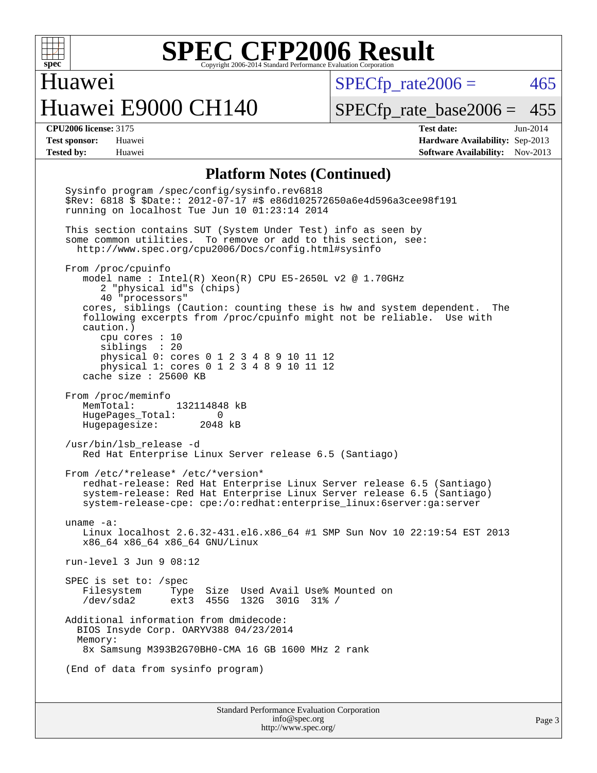

Huawei

Huawei E9000 CH140

 $SPECTp\_rate2006 = 465$ 

**[Tested by:](http://www.spec.org/auto/cpu2006/Docs/result-fields.html#Testedby)** Huawei **[Software Availability:](http://www.spec.org/auto/cpu2006/Docs/result-fields.html#SoftwareAvailability)** Nov-2013

[SPECfp\\_rate\\_base2006 =](http://www.spec.org/auto/cpu2006/Docs/result-fields.html#SPECfpratebase2006) 455 **[CPU2006 license:](http://www.spec.org/auto/cpu2006/Docs/result-fields.html#CPU2006license)** 3175 **[Test date:](http://www.spec.org/auto/cpu2006/Docs/result-fields.html#Testdate)** Jun-2014 **[Test sponsor:](http://www.spec.org/auto/cpu2006/Docs/result-fields.html#Testsponsor)** Huawei **[Hardware Availability:](http://www.spec.org/auto/cpu2006/Docs/result-fields.html#HardwareAvailability)** Sep-2013

#### **[Platform Notes \(Continued\)](http://www.spec.org/auto/cpu2006/Docs/result-fields.html#PlatformNotes)**

 Sysinfo program /spec/config/sysinfo.rev6818 \$Rev: 6818 \$ \$Date:: 2012-07-17 #\$ e86d102572650a6e4d596a3cee98f191 running on localhost Tue Jun 10 01:23:14 2014 This section contains SUT (System Under Test) info as seen by some common utilities. To remove or add to this section, see: <http://www.spec.org/cpu2006/Docs/config.html#sysinfo> From /proc/cpuinfo model name : Intel(R) Xeon(R) CPU E5-2650L v2 @ 1.70GHz 2 "physical id"s (chips) 40 "processors" cores, siblings (Caution: counting these is hw and system dependent. The following excerpts from /proc/cpuinfo might not be reliable. Use with caution.) cpu cores : 10 siblings : 20 physical 0: cores 0 1 2 3 4 8 9 10 11 12 physical 1: cores 0 1 2 3 4 8 9 10 11 12 cache size : 25600 KB From /proc/meminfo MemTotal: 132114848 kB HugePages\_Total: 0<br>Hugepagesize: 2048 kB Hugepagesize: /usr/bin/lsb\_release -d Red Hat Enterprise Linux Server release 6.5 (Santiago) From /etc/\*release\* /etc/\*version\* redhat-release: Red Hat Enterprise Linux Server release 6.5 (Santiago) system-release: Red Hat Enterprise Linux Server release 6.5 (Santiago) system-release-cpe: cpe:/o:redhat:enterprise\_linux:6server:ga:server uname -a: Linux localhost 2.6.32-431.el6.x86\_64 #1 SMP Sun Nov 10 22:19:54 EST 2013 x86\_64 x86\_64 x86\_64 GNU/Linux run-level 3 Jun 9 08:12 SPEC is set to: /spec Filesystem Type Size Used Avail Use% Mounted on /dev/sda2 ext3 455G 132G 301G 31% / Additional information from dmidecode: BIOS Insyde Corp. OARYV388 04/23/2014 Memory: 8x Samsung M393B2G70BH0-CMA 16 GB 1600 MHz 2 rank (End of data from sysinfo program)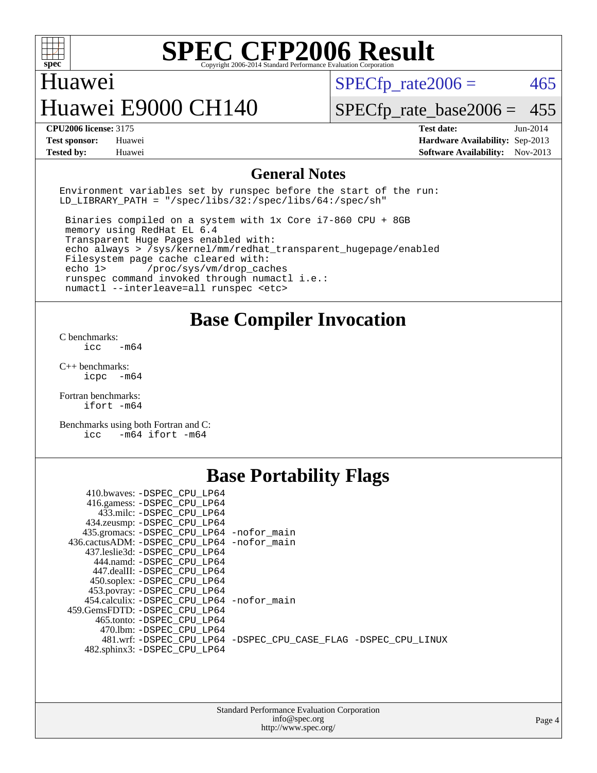

### Huawei

# Huawei E9000 CH140

 $SPECTp\_rate2006 = 465$ 

[SPECfp\\_rate\\_base2006 =](http://www.spec.org/auto/cpu2006/Docs/result-fields.html#SPECfpratebase2006) 455

**[CPU2006 license:](http://www.spec.org/auto/cpu2006/Docs/result-fields.html#CPU2006license)** 3175 **[Test date:](http://www.spec.org/auto/cpu2006/Docs/result-fields.html#Testdate)** Jun-2014 **[Test sponsor:](http://www.spec.org/auto/cpu2006/Docs/result-fields.html#Testsponsor)** Huawei **[Hardware Availability:](http://www.spec.org/auto/cpu2006/Docs/result-fields.html#HardwareAvailability)** Sep-2013 **[Tested by:](http://www.spec.org/auto/cpu2006/Docs/result-fields.html#Testedby)** Huawei **[Software Availability:](http://www.spec.org/auto/cpu2006/Docs/result-fields.html#SoftwareAvailability)** Nov-2013

#### **[General Notes](http://www.spec.org/auto/cpu2006/Docs/result-fields.html#GeneralNotes)**

Environment variables set by runspec before the start of the run: LD LIBRARY PATH = "/spec/libs/32:/spec/libs/64:/spec/sh"

 Binaries compiled on a system with 1x Core i7-860 CPU + 8GB memory using RedHat EL 6.4 Transparent Huge Pages enabled with: echo always > /sys/kernel/mm/redhat\_transparent\_hugepage/enabled Filesystem page cache cleared with: echo 1> /proc/sys/vm/drop\_caches runspec command invoked through numactl i.e.: numactl --interleave=all runspec <etc>

#### **[Base Compiler Invocation](http://www.spec.org/auto/cpu2006/Docs/result-fields.html#BaseCompilerInvocation)**

[C benchmarks](http://www.spec.org/auto/cpu2006/Docs/result-fields.html#Cbenchmarks):  $\text{icc}$   $-\text{m64}$ 

[C++ benchmarks:](http://www.spec.org/auto/cpu2006/Docs/result-fields.html#CXXbenchmarks) [icpc -m64](http://www.spec.org/cpu2006/results/res2014q3/cpu2006-20140612-29883.flags.html#user_CXXbase_intel_icpc_64bit_bedb90c1146cab66620883ef4f41a67e)

[Fortran benchmarks](http://www.spec.org/auto/cpu2006/Docs/result-fields.html#Fortranbenchmarks): [ifort -m64](http://www.spec.org/cpu2006/results/res2014q3/cpu2006-20140612-29883.flags.html#user_FCbase_intel_ifort_64bit_ee9d0fb25645d0210d97eb0527dcc06e)

[Benchmarks using both Fortran and C](http://www.spec.org/auto/cpu2006/Docs/result-fields.html#BenchmarksusingbothFortranandC): [icc -m64](http://www.spec.org/cpu2006/results/res2014q3/cpu2006-20140612-29883.flags.html#user_CC_FCbase_intel_icc_64bit_0b7121f5ab7cfabee23d88897260401c) [ifort -m64](http://www.spec.org/cpu2006/results/res2014q3/cpu2006-20140612-29883.flags.html#user_CC_FCbase_intel_ifort_64bit_ee9d0fb25645d0210d97eb0527dcc06e)

### **[Base Portability Flags](http://www.spec.org/auto/cpu2006/Docs/result-fields.html#BasePortabilityFlags)**

| 410.bwaves: -DSPEC CPU LP64                 |                                                                |
|---------------------------------------------|----------------------------------------------------------------|
| 416.gamess: - DSPEC_CPU_LP64                |                                                                |
| 433.milc: -DSPEC CPU LP64                   |                                                                |
| 434.zeusmp: - DSPEC_CPU_LP64                |                                                                |
| 435.gromacs: -DSPEC_CPU_LP64 -nofor_main    |                                                                |
| 436.cactusADM: -DSPEC CPU LP64 -nofor main  |                                                                |
| 437.leslie3d: -DSPEC CPU LP64               |                                                                |
| 444.namd: - DSPEC_CPU_LP64                  |                                                                |
| 447.dealII: -DSPEC CPU LP64                 |                                                                |
| 450.soplex: -DSPEC_CPU_LP64                 |                                                                |
| 453.povray: -DSPEC_CPU_LP64                 |                                                                |
| 454.calculix: - DSPEC CPU LP64 - nofor main |                                                                |
| 459. GemsFDTD: - DSPEC CPU LP64             |                                                                |
| 465.tonto: - DSPEC CPU LP64                 |                                                                |
| 470.1bm: - DSPEC CPU LP64                   |                                                                |
|                                             | 481.wrf: -DSPEC CPU_LP64 -DSPEC_CPU_CASE_FLAG -DSPEC_CPU_LINUX |
| 482.sphinx3: -DSPEC CPU LP64                |                                                                |
|                                             |                                                                |

| <b>Standard Performance Evaluation Corporation</b> |
|----------------------------------------------------|
| info@spec.org                                      |
| http://www.spec.org/                               |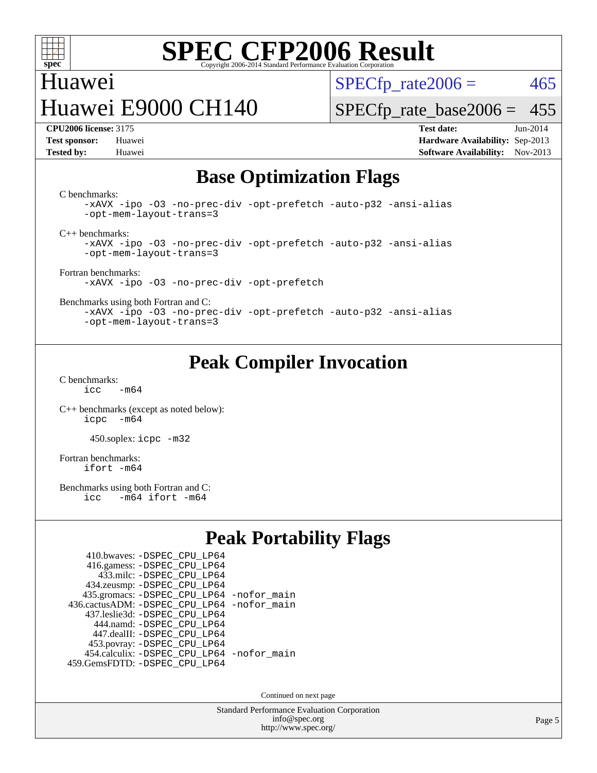

## Huawei Huawei E9000 CH140

 $SPECTp\_rate2006 = 465$ 

[SPECfp\\_rate\\_base2006 =](http://www.spec.org/auto/cpu2006/Docs/result-fields.html#SPECfpratebase2006) 455

**[CPU2006 license:](http://www.spec.org/auto/cpu2006/Docs/result-fields.html#CPU2006license)** 3175 **[Test date:](http://www.spec.org/auto/cpu2006/Docs/result-fields.html#Testdate)** Jun-2014 **[Test sponsor:](http://www.spec.org/auto/cpu2006/Docs/result-fields.html#Testsponsor)** Huawei **[Hardware Availability:](http://www.spec.org/auto/cpu2006/Docs/result-fields.html#HardwareAvailability)** Sep-2013 **[Tested by:](http://www.spec.org/auto/cpu2006/Docs/result-fields.html#Testedby)** Huawei **[Software Availability:](http://www.spec.org/auto/cpu2006/Docs/result-fields.html#SoftwareAvailability)** Nov-2013

### **[Base Optimization Flags](http://www.spec.org/auto/cpu2006/Docs/result-fields.html#BaseOptimizationFlags)**

[C benchmarks](http://www.spec.org/auto/cpu2006/Docs/result-fields.html#Cbenchmarks):

[-xAVX](http://www.spec.org/cpu2006/results/res2014q3/cpu2006-20140612-29883.flags.html#user_CCbase_f-xAVX) [-ipo](http://www.spec.org/cpu2006/results/res2014q3/cpu2006-20140612-29883.flags.html#user_CCbase_f-ipo) [-O3](http://www.spec.org/cpu2006/results/res2014q3/cpu2006-20140612-29883.flags.html#user_CCbase_f-O3) [-no-prec-div](http://www.spec.org/cpu2006/results/res2014q3/cpu2006-20140612-29883.flags.html#user_CCbase_f-no-prec-div) [-opt-prefetch](http://www.spec.org/cpu2006/results/res2014q3/cpu2006-20140612-29883.flags.html#user_CCbase_f-opt-prefetch) [-auto-p32](http://www.spec.org/cpu2006/results/res2014q3/cpu2006-20140612-29883.flags.html#user_CCbase_f-auto-p32) [-ansi-alias](http://www.spec.org/cpu2006/results/res2014q3/cpu2006-20140612-29883.flags.html#user_CCbase_f-ansi-alias) [-opt-mem-layout-trans=3](http://www.spec.org/cpu2006/results/res2014q3/cpu2006-20140612-29883.flags.html#user_CCbase_f-opt-mem-layout-trans_a7b82ad4bd7abf52556d4961a2ae94d5)

[C++ benchmarks:](http://www.spec.org/auto/cpu2006/Docs/result-fields.html#CXXbenchmarks)

[-xAVX](http://www.spec.org/cpu2006/results/res2014q3/cpu2006-20140612-29883.flags.html#user_CXXbase_f-xAVX) [-ipo](http://www.spec.org/cpu2006/results/res2014q3/cpu2006-20140612-29883.flags.html#user_CXXbase_f-ipo) [-O3](http://www.spec.org/cpu2006/results/res2014q3/cpu2006-20140612-29883.flags.html#user_CXXbase_f-O3) [-no-prec-div](http://www.spec.org/cpu2006/results/res2014q3/cpu2006-20140612-29883.flags.html#user_CXXbase_f-no-prec-div) [-opt-prefetch](http://www.spec.org/cpu2006/results/res2014q3/cpu2006-20140612-29883.flags.html#user_CXXbase_f-opt-prefetch) [-auto-p32](http://www.spec.org/cpu2006/results/res2014q3/cpu2006-20140612-29883.flags.html#user_CXXbase_f-auto-p32) [-ansi-alias](http://www.spec.org/cpu2006/results/res2014q3/cpu2006-20140612-29883.flags.html#user_CXXbase_f-ansi-alias) [-opt-mem-layout-trans=3](http://www.spec.org/cpu2006/results/res2014q3/cpu2006-20140612-29883.flags.html#user_CXXbase_f-opt-mem-layout-trans_a7b82ad4bd7abf52556d4961a2ae94d5)

[Fortran benchmarks](http://www.spec.org/auto/cpu2006/Docs/result-fields.html#Fortranbenchmarks): [-xAVX](http://www.spec.org/cpu2006/results/res2014q3/cpu2006-20140612-29883.flags.html#user_FCbase_f-xAVX) [-ipo](http://www.spec.org/cpu2006/results/res2014q3/cpu2006-20140612-29883.flags.html#user_FCbase_f-ipo) [-O3](http://www.spec.org/cpu2006/results/res2014q3/cpu2006-20140612-29883.flags.html#user_FCbase_f-O3) [-no-prec-div](http://www.spec.org/cpu2006/results/res2014q3/cpu2006-20140612-29883.flags.html#user_FCbase_f-no-prec-div) [-opt-prefetch](http://www.spec.org/cpu2006/results/res2014q3/cpu2006-20140612-29883.flags.html#user_FCbase_f-opt-prefetch)

[Benchmarks using both Fortran and C](http://www.spec.org/auto/cpu2006/Docs/result-fields.html#BenchmarksusingbothFortranandC):

[-xAVX](http://www.spec.org/cpu2006/results/res2014q3/cpu2006-20140612-29883.flags.html#user_CC_FCbase_f-xAVX) [-ipo](http://www.spec.org/cpu2006/results/res2014q3/cpu2006-20140612-29883.flags.html#user_CC_FCbase_f-ipo) [-O3](http://www.spec.org/cpu2006/results/res2014q3/cpu2006-20140612-29883.flags.html#user_CC_FCbase_f-O3) [-no-prec-div](http://www.spec.org/cpu2006/results/res2014q3/cpu2006-20140612-29883.flags.html#user_CC_FCbase_f-no-prec-div) [-opt-prefetch](http://www.spec.org/cpu2006/results/res2014q3/cpu2006-20140612-29883.flags.html#user_CC_FCbase_f-opt-prefetch) [-auto-p32](http://www.spec.org/cpu2006/results/res2014q3/cpu2006-20140612-29883.flags.html#user_CC_FCbase_f-auto-p32) [-ansi-alias](http://www.spec.org/cpu2006/results/res2014q3/cpu2006-20140612-29883.flags.html#user_CC_FCbase_f-ansi-alias) [-opt-mem-layout-trans=3](http://www.spec.org/cpu2006/results/res2014q3/cpu2006-20140612-29883.flags.html#user_CC_FCbase_f-opt-mem-layout-trans_a7b82ad4bd7abf52556d4961a2ae94d5)

### **[Peak Compiler Invocation](http://www.spec.org/auto/cpu2006/Docs/result-fields.html#PeakCompilerInvocation)**

[C benchmarks](http://www.spec.org/auto/cpu2006/Docs/result-fields.html#Cbenchmarks):  $i<sub>c</sub>$   $-m64$ 

[C++ benchmarks \(except as noted below\):](http://www.spec.org/auto/cpu2006/Docs/result-fields.html#CXXbenchmarksexceptasnotedbelow) [icpc -m64](http://www.spec.org/cpu2006/results/res2014q3/cpu2006-20140612-29883.flags.html#user_CXXpeak_intel_icpc_64bit_bedb90c1146cab66620883ef4f41a67e)

450.soplex: [icpc -m32](http://www.spec.org/cpu2006/results/res2014q3/cpu2006-20140612-29883.flags.html#user_peakCXXLD450_soplex_intel_icpc_4e5a5ef1a53fd332b3c49e69c3330699)

[Fortran benchmarks](http://www.spec.org/auto/cpu2006/Docs/result-fields.html#Fortranbenchmarks): [ifort -m64](http://www.spec.org/cpu2006/results/res2014q3/cpu2006-20140612-29883.flags.html#user_FCpeak_intel_ifort_64bit_ee9d0fb25645d0210d97eb0527dcc06e)

[Benchmarks using both Fortran and C](http://www.spec.org/auto/cpu2006/Docs/result-fields.html#BenchmarksusingbothFortranandC):<br>icc -m64 ifort -m64  $-m64$  ifort  $-m64$ 

#### **[Peak Portability Flags](http://www.spec.org/auto/cpu2006/Docs/result-fields.html#PeakPortabilityFlags)**

| 410.bwaves: - DSPEC CPU LP64                |  |
|---------------------------------------------|--|
| 416.gamess: -DSPEC_CPU_LP64                 |  |
| 433.milc: - DSPEC_CPU LP64                  |  |
| 434.zeusmp: -DSPEC_CPU_LP64                 |  |
| 435.gromacs: -DSPEC_CPU_LP64 -nofor_main    |  |
| 436.cactusADM: -DSPEC CPU LP64 -nofor main  |  |
| 437.leslie3d: -DSPEC CPU LP64               |  |
| 444.namd: - DSPEC CPU LP64                  |  |
| 447.dealII: -DSPEC CPU LP64                 |  |
| 453.povray: -DSPEC_CPU_LP64                 |  |
| 454.calculix: - DSPEC CPU LP64 - nofor main |  |
| 459.GemsFDTD: - DSPEC_CPU_LP64              |  |

Continued on next page

Standard Performance Evaluation Corporation [info@spec.org](mailto:info@spec.org) <http://www.spec.org/>

Page 5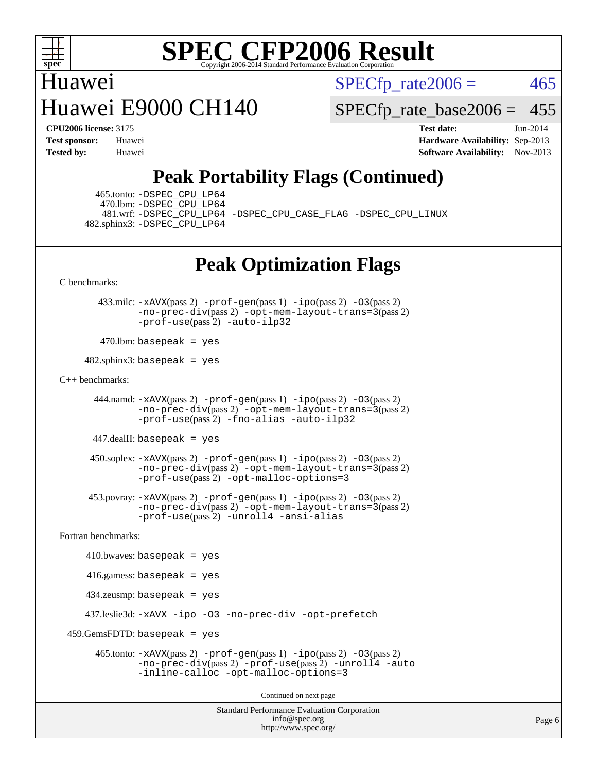

## Huawei Huawei E9000 CH140

 $SPECTp\_rate2006 = 465$ 

[SPECfp\\_rate\\_base2006 =](http://www.spec.org/auto/cpu2006/Docs/result-fields.html#SPECfpratebase2006) 455

**[CPU2006 license:](http://www.spec.org/auto/cpu2006/Docs/result-fields.html#CPU2006license)** 3175 **[Test date:](http://www.spec.org/auto/cpu2006/Docs/result-fields.html#Testdate)** Jun-2014 **[Test sponsor:](http://www.spec.org/auto/cpu2006/Docs/result-fields.html#Testsponsor)** Huawei **[Hardware Availability:](http://www.spec.org/auto/cpu2006/Docs/result-fields.html#HardwareAvailability)** Sep-2013 **[Tested by:](http://www.spec.org/auto/cpu2006/Docs/result-fields.html#Testedby)** Huawei **[Software Availability:](http://www.spec.org/auto/cpu2006/Docs/result-fields.html#SoftwareAvailability)** Nov-2013

## **[Peak Portability Flags \(Continued\)](http://www.spec.org/auto/cpu2006/Docs/result-fields.html#PeakPortabilityFlags)**

 465.tonto: [-DSPEC\\_CPU\\_LP64](http://www.spec.org/cpu2006/results/res2014q3/cpu2006-20140612-29883.flags.html#suite_peakPORTABILITY465_tonto_DSPEC_CPU_LP64) 470.lbm: [-DSPEC\\_CPU\\_LP64](http://www.spec.org/cpu2006/results/res2014q3/cpu2006-20140612-29883.flags.html#suite_peakPORTABILITY470_lbm_DSPEC_CPU_LP64) 482.sphinx3: [-DSPEC\\_CPU\\_LP64](http://www.spec.org/cpu2006/results/res2014q3/cpu2006-20140612-29883.flags.html#suite_peakPORTABILITY482_sphinx3_DSPEC_CPU_LP64)

481.wrf: [-DSPEC\\_CPU\\_LP64](http://www.spec.org/cpu2006/results/res2014q3/cpu2006-20140612-29883.flags.html#suite_peakPORTABILITY481_wrf_DSPEC_CPU_LP64) [-DSPEC\\_CPU\\_CASE\\_FLAG](http://www.spec.org/cpu2006/results/res2014q3/cpu2006-20140612-29883.flags.html#b481.wrf_peakCPORTABILITY_DSPEC_CPU_CASE_FLAG) [-DSPEC\\_CPU\\_LINUX](http://www.spec.org/cpu2006/results/res2014q3/cpu2006-20140612-29883.flags.html#b481.wrf_peakCPORTABILITY_DSPEC_CPU_LINUX)

## **[Peak Optimization Flags](http://www.spec.org/auto/cpu2006/Docs/result-fields.html#PeakOptimizationFlags)**

[C benchmarks](http://www.spec.org/auto/cpu2006/Docs/result-fields.html#Cbenchmarks):

 433.milc: [-xAVX](http://www.spec.org/cpu2006/results/res2014q3/cpu2006-20140612-29883.flags.html#user_peakPASS2_CFLAGSPASS2_LDFLAGS433_milc_f-xAVX)(pass 2) [-prof-gen](http://www.spec.org/cpu2006/results/res2014q3/cpu2006-20140612-29883.flags.html#user_peakPASS1_CFLAGSPASS1_LDFLAGS433_milc_prof_gen_e43856698f6ca7b7e442dfd80e94a8fc)(pass 1) [-ipo](http://www.spec.org/cpu2006/results/res2014q3/cpu2006-20140612-29883.flags.html#user_peakPASS2_CFLAGSPASS2_LDFLAGS433_milc_f-ipo)(pass 2) [-O3](http://www.spec.org/cpu2006/results/res2014q3/cpu2006-20140612-29883.flags.html#user_peakPASS2_CFLAGSPASS2_LDFLAGS433_milc_f-O3)(pass 2) [-no-prec-div](http://www.spec.org/cpu2006/results/res2014q3/cpu2006-20140612-29883.flags.html#user_peakPASS2_CFLAGSPASS2_LDFLAGS433_milc_f-no-prec-div)(pass 2) [-opt-mem-layout-trans=3](http://www.spec.org/cpu2006/results/res2014q3/cpu2006-20140612-29883.flags.html#user_peakPASS2_CFLAGS433_milc_f-opt-mem-layout-trans_a7b82ad4bd7abf52556d4961a2ae94d5)(pass 2) [-prof-use](http://www.spec.org/cpu2006/results/res2014q3/cpu2006-20140612-29883.flags.html#user_peakPASS2_CFLAGSPASS2_LDFLAGS433_milc_prof_use_bccf7792157ff70d64e32fe3e1250b55)(pass 2) [-auto-ilp32](http://www.spec.org/cpu2006/results/res2014q3/cpu2006-20140612-29883.flags.html#user_peakCOPTIMIZE433_milc_f-auto-ilp32)

 $470$ .lbm: basepeak = yes

 $482$ .sphinx3: basepeak = yes

#### [C++ benchmarks:](http://www.spec.org/auto/cpu2006/Docs/result-fields.html#CXXbenchmarks)

 444.namd: [-xAVX](http://www.spec.org/cpu2006/results/res2014q3/cpu2006-20140612-29883.flags.html#user_peakPASS2_CXXFLAGSPASS2_LDFLAGS444_namd_f-xAVX)(pass 2) [-prof-gen](http://www.spec.org/cpu2006/results/res2014q3/cpu2006-20140612-29883.flags.html#user_peakPASS1_CXXFLAGSPASS1_LDFLAGS444_namd_prof_gen_e43856698f6ca7b7e442dfd80e94a8fc)(pass 1) [-ipo](http://www.spec.org/cpu2006/results/res2014q3/cpu2006-20140612-29883.flags.html#user_peakPASS2_CXXFLAGSPASS2_LDFLAGS444_namd_f-ipo)(pass 2) [-O3](http://www.spec.org/cpu2006/results/res2014q3/cpu2006-20140612-29883.flags.html#user_peakPASS2_CXXFLAGSPASS2_LDFLAGS444_namd_f-O3)(pass 2) [-no-prec-div](http://www.spec.org/cpu2006/results/res2014q3/cpu2006-20140612-29883.flags.html#user_peakPASS2_CXXFLAGSPASS2_LDFLAGS444_namd_f-no-prec-div)(pass 2) [-opt-mem-layout-trans=3](http://www.spec.org/cpu2006/results/res2014q3/cpu2006-20140612-29883.flags.html#user_peakPASS2_CXXFLAGS444_namd_f-opt-mem-layout-trans_a7b82ad4bd7abf52556d4961a2ae94d5)(pass 2) [-prof-use](http://www.spec.org/cpu2006/results/res2014q3/cpu2006-20140612-29883.flags.html#user_peakPASS2_CXXFLAGSPASS2_LDFLAGS444_namd_prof_use_bccf7792157ff70d64e32fe3e1250b55)(pass 2) [-fno-alias](http://www.spec.org/cpu2006/results/res2014q3/cpu2006-20140612-29883.flags.html#user_peakCXXOPTIMIZE444_namd_f-no-alias_694e77f6c5a51e658e82ccff53a9e63a) [-auto-ilp32](http://www.spec.org/cpu2006/results/res2014q3/cpu2006-20140612-29883.flags.html#user_peakCXXOPTIMIZE444_namd_f-auto-ilp32)

447.dealII: basepeak = yes

 $450$ .soplex:  $-x$ AVX(pass 2)  $-p$ rof-gen(pass 1)  $-i$ po(pass 2)  $-03$ (pass 2) [-no-prec-div](http://www.spec.org/cpu2006/results/res2014q3/cpu2006-20140612-29883.flags.html#user_peakPASS2_CXXFLAGSPASS2_LDFLAGS450_soplex_f-no-prec-div)(pass 2) [-opt-mem-layout-trans=3](http://www.spec.org/cpu2006/results/res2014q3/cpu2006-20140612-29883.flags.html#user_peakPASS2_CXXFLAGS450_soplex_f-opt-mem-layout-trans_a7b82ad4bd7abf52556d4961a2ae94d5)(pass 2) [-prof-use](http://www.spec.org/cpu2006/results/res2014q3/cpu2006-20140612-29883.flags.html#user_peakPASS2_CXXFLAGSPASS2_LDFLAGS450_soplex_prof_use_bccf7792157ff70d64e32fe3e1250b55)(pass 2) [-opt-malloc-options=3](http://www.spec.org/cpu2006/results/res2014q3/cpu2006-20140612-29883.flags.html#user_peakOPTIMIZE450_soplex_f-opt-malloc-options_13ab9b803cf986b4ee62f0a5998c2238)

 453.povray: [-xAVX](http://www.spec.org/cpu2006/results/res2014q3/cpu2006-20140612-29883.flags.html#user_peakPASS2_CXXFLAGSPASS2_LDFLAGS453_povray_f-xAVX)(pass 2) [-prof-gen](http://www.spec.org/cpu2006/results/res2014q3/cpu2006-20140612-29883.flags.html#user_peakPASS1_CXXFLAGSPASS1_LDFLAGS453_povray_prof_gen_e43856698f6ca7b7e442dfd80e94a8fc)(pass 1) [-ipo](http://www.spec.org/cpu2006/results/res2014q3/cpu2006-20140612-29883.flags.html#user_peakPASS2_CXXFLAGSPASS2_LDFLAGS453_povray_f-ipo)(pass 2) [-O3](http://www.spec.org/cpu2006/results/res2014q3/cpu2006-20140612-29883.flags.html#user_peakPASS2_CXXFLAGSPASS2_LDFLAGS453_povray_f-O3)(pass 2) [-no-prec-div](http://www.spec.org/cpu2006/results/res2014q3/cpu2006-20140612-29883.flags.html#user_peakPASS2_CXXFLAGSPASS2_LDFLAGS453_povray_f-no-prec-div)(pass 2) [-opt-mem-layout-trans=3](http://www.spec.org/cpu2006/results/res2014q3/cpu2006-20140612-29883.flags.html#user_peakPASS2_CXXFLAGS453_povray_f-opt-mem-layout-trans_a7b82ad4bd7abf52556d4961a2ae94d5)(pass 2) [-prof-use](http://www.spec.org/cpu2006/results/res2014q3/cpu2006-20140612-29883.flags.html#user_peakPASS2_CXXFLAGSPASS2_LDFLAGS453_povray_prof_use_bccf7792157ff70d64e32fe3e1250b55)(pass 2) [-unroll4](http://www.spec.org/cpu2006/results/res2014q3/cpu2006-20140612-29883.flags.html#user_peakCXXOPTIMIZE453_povray_f-unroll_4e5e4ed65b7fd20bdcd365bec371b81f) [-ansi-alias](http://www.spec.org/cpu2006/results/res2014q3/cpu2006-20140612-29883.flags.html#user_peakCXXOPTIMIZE453_povray_f-ansi-alias)

[Fortran benchmarks](http://www.spec.org/auto/cpu2006/Docs/result-fields.html#Fortranbenchmarks):

```
410.bwaves: basepeak = yes 416.gamess: basepeak = yes
    434.zeusmp: basepeak = yes
    437.leslie3d: -xAVX -ipo -O3 -no-prec-div -opt-prefetch
459.GemsFDTD: basepeak = yes 465.tonto: -xAVX(pass 2) -prof-gen(pass 1) -ipo(pass 2) -O3(pass 2)
              -no-prec-div(pass 2) -prof-use(pass 2) -unroll4 -auto
              -inline-calloc -opt-malloc-options=3
                                      Continued on next page
```
Standard Performance Evaluation Corporation [info@spec.org](mailto:info@spec.org) <http://www.spec.org/>